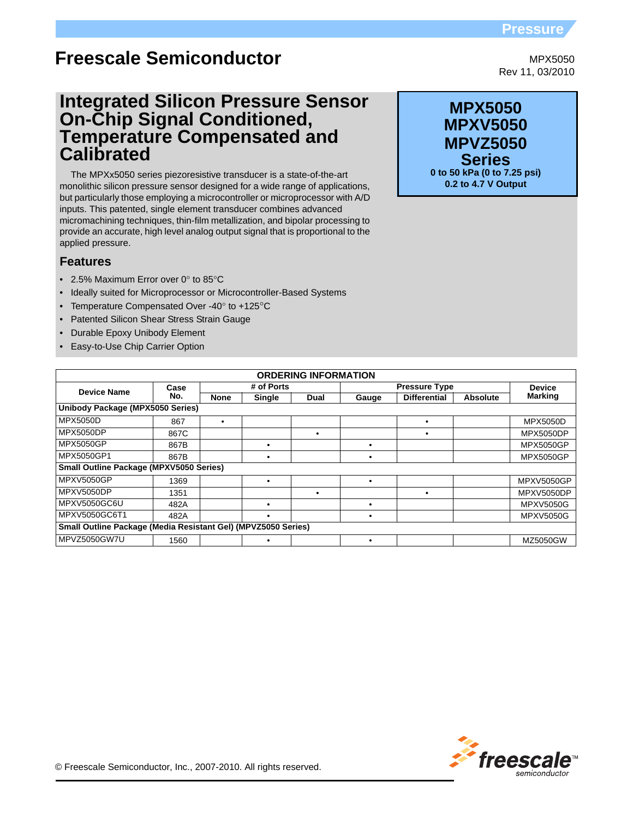# **Pressure**

MPX5050 Rev 11, 03/2010

# **Freescale Semiconductor**

# **Integrated Silicon Pressure Sensor On-Chip Signal Conditioned, Temperature Compensated and Calibrated**

The MPXx5050 series piezoresistive transducer is a state-of-the-art monolithic silicon pressure sensor designed for a wide range of applications, but particularly those employing a microcontroller or microprocessor with A/D inputs. This patented, single element transducer combines advanced micromachining techniques, thin-film metallization, and bipolar processing to provide an accurate, high level analog output signal that is proportional to the applied pressure.

# **Features**

- 2.5% Maximum Error over 0° to 85°C
- Ideally suited for Microprocessor or Microcontroller-Based Systems
- Temperature Compensated Over -40° to +125°C
- Patented Silicon Shear Stress Strain Gauge
- **Durable Epoxy Unibody Element**
- Easy-to-Use Chip Carrier Option

| <b>ORDERING INFORMATION</b>                                   |      |             |            |      |                      |                     |                 |                   |
|---------------------------------------------------------------|------|-------------|------------|------|----------------------|---------------------|-----------------|-------------------|
| <b>Device Name</b>                                            | Case |             | # of Ports |      | <b>Pressure Type</b> |                     |                 | <b>Device</b>     |
|                                                               | No.  | <b>None</b> | Single     | Dual | Gauge                | <b>Differential</b> | <b>Absolute</b> | <b>Marking</b>    |
| Unibody Package (MPX5050 Series)                              |      |             |            |      |                      |                     |                 |                   |
| MPX5050D                                                      | 867  |             |            |      |                      |                     |                 | <b>MPX5050D</b>   |
| <b>MPX5050DP</b>                                              | 867C |             |            | ٠    |                      |                     |                 | <b>MPX5050DP</b>  |
| <b>MPX5050GP</b>                                              | 867B |             | ٠          |      |                      |                     |                 | <b>MPX5050GP</b>  |
| MPX5050GP1                                                    | 867B |             | ٠          |      |                      |                     |                 | <b>MPX5050GP</b>  |
| Small Outline Package (MPXV5050 Series)                       |      |             |            |      |                      |                     |                 |                   |
| <b>MPXV5050GP</b>                                             | 1369 |             | ٠          |      |                      |                     |                 | <b>MPXV5050GP</b> |
| <b>MPXV5050DP</b>                                             | 1351 |             |            | ٠    |                      | $\bullet$           |                 | MPXV5050DP        |
| MPXV5050GC6U                                                  | 482A |             |            |      |                      |                     |                 | <b>MPXV5050G</b>  |
| MPXV5050GC6T1                                                 | 482A |             | ٠          |      |                      |                     |                 | <b>MPXV5050G</b>  |
| Small Outline Package (Media Resistant Gel) (MPVZ5050 Series) |      |             |            |      |                      |                     |                 |                   |
| MPVZ5050GW7U                                                  | 1560 |             | ٠          |      |                      |                     |                 | MZ5050GW          |

**MPX5050 Series 0 to 50 kPa (0 to 7.25 psi) 0.2 to 4.7 V Output MPXV5050 MPVZ5050**

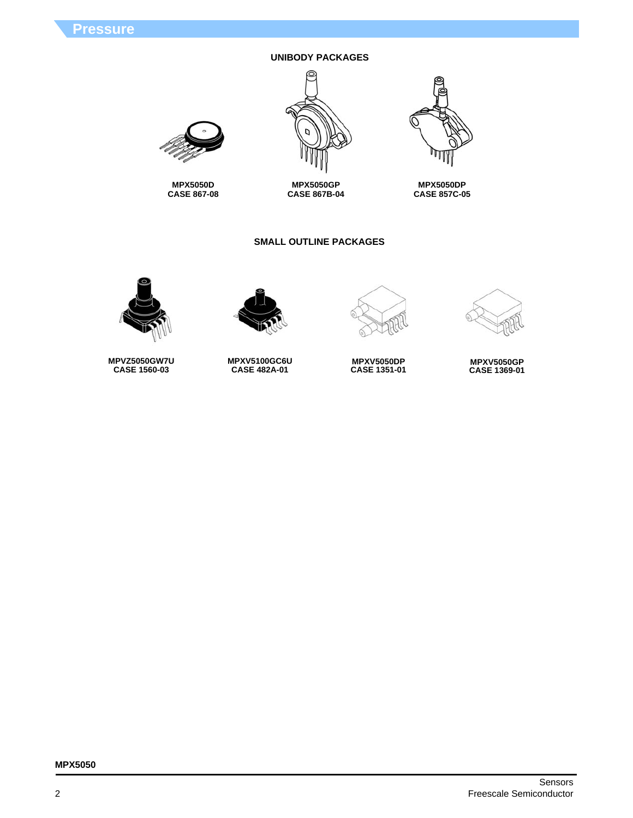# **UNIBODY PACKAGES**







**MPX5050D CASE 867-08**

# **SMALL OUTLINE PACKAGES**



**MPX5050DP CASE 857C-05**





**MPXV5050DP CASE 1351-01**



**MPXV5050GP CASE 1369-01**



**MPVZ5050GW7U CASE 1560-03**

**MPXV5100GC6U CASE 482A-01**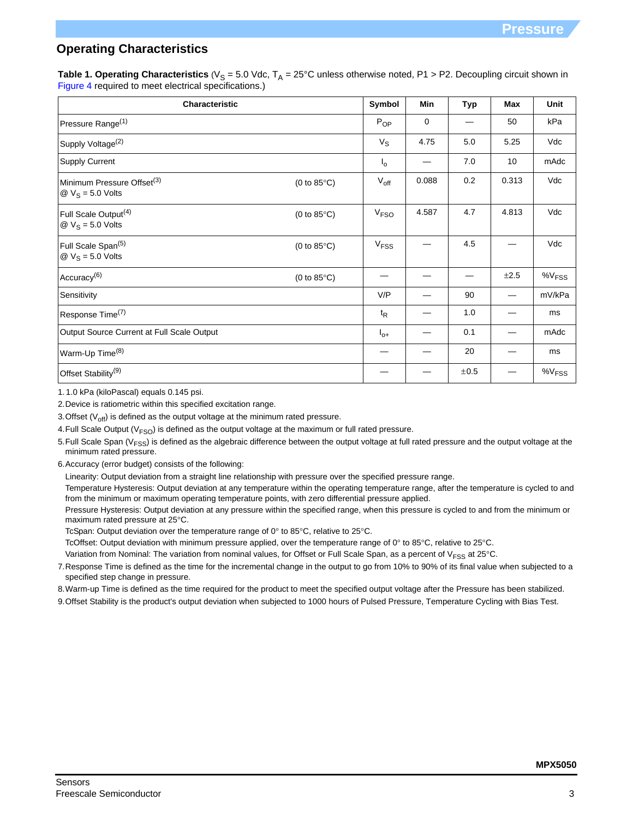# **Operating Characteristics**

**Table 1. Operating Characteristics** ( $V_S = 5.0$  Vdc,  $T_A = 25$ °C unless otherwise noted, P1 > P2. Decoupling circuit shown in Figure 4 required to meet electrical specifications.)

| <b>Characteristic</b>                                                            |                       | Symbol                 | Min         | <b>Typ</b> | Max   | Unit                 |
|----------------------------------------------------------------------------------|-----------------------|------------------------|-------------|------------|-------|----------------------|
| Pressure Range <sup>(1)</sup>                                                    |                       | $P_{OP}$               | $\mathbf 0$ |            | 50    | kPa                  |
| Supply Voltage <sup>(2)</sup>                                                    |                       | $V_{\rm S}$            | 4.75        | 5.0        | 5.25  | Vdc                  |
| <b>Supply Current</b>                                                            |                       | $I_{\rm O}$            |             | 7.0        | 10    | mAdc                 |
| Minimum Pressure Offset <sup>(3)</sup><br>$\omega$ V <sub>S</sub> = 5.0 Volts    | (0 to $85^{\circ}$ C) | $V_{\text{off}}$       | 0.088       | 0.2        | 0.313 | Vdc                  |
| Full Scale Output <sup>(4)</sup><br>$\textcircled{2}$ V <sub>S</sub> = 5.0 Volts | (0 to $85^{\circ}$ C) | V <sub>FSO</sub>       | 4.587       | 4.7        | 4.813 | Vdc                  |
| Full Scale Span(5)<br>$\textcircled{2}$ V <sub>S</sub> = 5.0 Volts               | (0 to $85^{\circ}$ C) | <b>V<sub>FSS</sub></b> |             | 4.5        |       | Vdc                  |
| Accuracy <sup>(6)</sup>                                                          | (0 to 85 $\degree$ C) |                        |             | —          | ±2.5  | $\%V$ <sub>FSS</sub> |
| Sensitivity                                                                      |                       | V/P                    |             | 90         |       | mV/kPa               |
| Response Time <sup>(7)</sup>                                                     |                       | $t_{\mathsf{R}}$       |             | 1.0        |       | ms                   |
| Output Source Current at Full Scale Output                                       |                       | $I_{0+}$               |             | 0.1        |       | mAdc                 |
| Warm-Up Time <sup>(8)</sup>                                                      |                       |                        |             | 20         |       | ms                   |
| Offset Stability <sup>(9)</sup>                                                  |                       |                        |             | ±0.5       |       | %V <sub>FSS</sub>    |

1. 1.0 kPa (kiloPascal) equals 0.145 psi.

2.Device is ratiometric within this specified excitation range.

3. Offset  $(V_{off})$  is defined as the output voltage at the minimum rated pressure.

4. Full Scale Output ( $V<sub>FSO</sub>$ ) is defined as the output voltage at the maximum or full rated pressure.

- 5. Full Scale Span ( $V_{FSS}$ ) is defined as the algebraic difference between the output voltage at full rated pressure and the output voltage at the minimum rated pressure.
- 6.Accuracy (error budget) consists of the following:

Linearity: Output deviation from a straight line relationship with pressure over the specified pressure range.

Temperature Hysteresis: Output deviation at any temperature within the operating temperature range, after the temperature is cycled to and from the minimum or maximum operating temperature points, with zero differential pressure applied.

Pressure Hysteresis: Output deviation at any pressure within the specified range, when this pressure is cycled to and from the minimum or maximum rated pressure at 25°C.

TcSpan: Output deviation over the temperature range of  $0^\circ$  to 85 $^\circ$ C, relative to 25 $^\circ$ C.

TcOffset: Output deviation with minimum pressure applied, over the temperature range of 0° to 85°C, relative to 25°C.

Variation from Nominal: The variation from nominal values, for Offset or Full Scale Span, as a percent of V<sub>FSS</sub> at 25°C.

7.Response Time is defined as the time for the incremental change in the output to go from 10% to 90% of its final value when subjected to a specified step change in pressure.

8.Warm-up Time is defined as the time required for the product to meet the specified output voltage after the Pressure has been stabilized.

9.Offset Stability is the product's output deviation when subjected to 1000 hours of Pulsed Pressure, Temperature Cycling with Bias Test.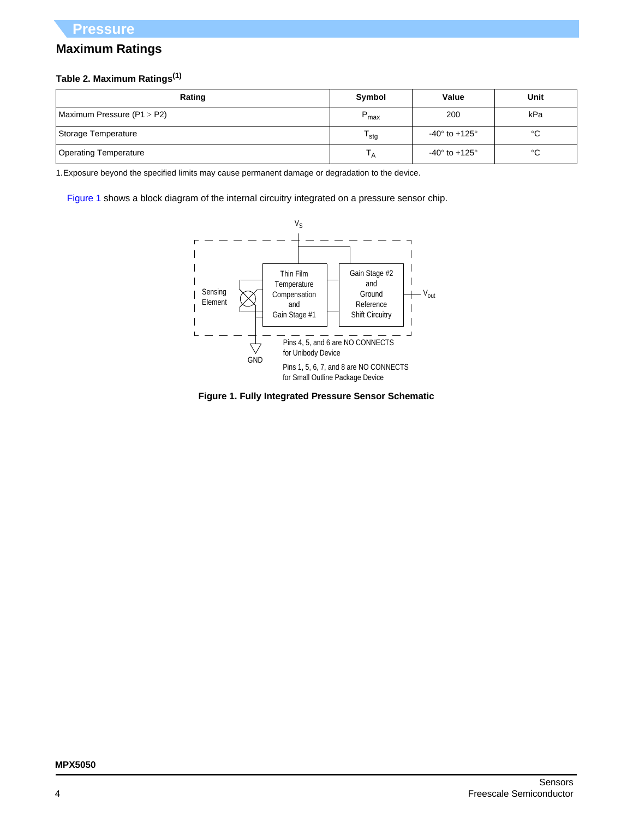# **Maximum Ratings**

# **Table 2. Maximum Ratings(1)**

| Rating                         | Symbol           | Value                             | Unit        |
|--------------------------------|------------------|-----------------------------------|-------------|
| Maximum Pressure ( $P1 > P2$ ) | $P_{max}$        | 200                               | kPa         |
| Storage Temperature            | <sup>I</sup> stq | -40 $^{\circ}$ to +125 $^{\circ}$ | $^{\circ}C$ |
| <b>Operating Temperature</b>   |                  | -40 $^{\circ}$ to +125 $^{\circ}$ | °C          |

1.Exposure beyond the specified limits may cause permanent damage or degradation to the device.

[Figure 1](#page-3-0) shows a block diagram of the internal circuitry integrated on a pressure sensor chip.



<span id="page-3-0"></span>**Figure 1. Fully Integrated Pressure Sensor Schematic**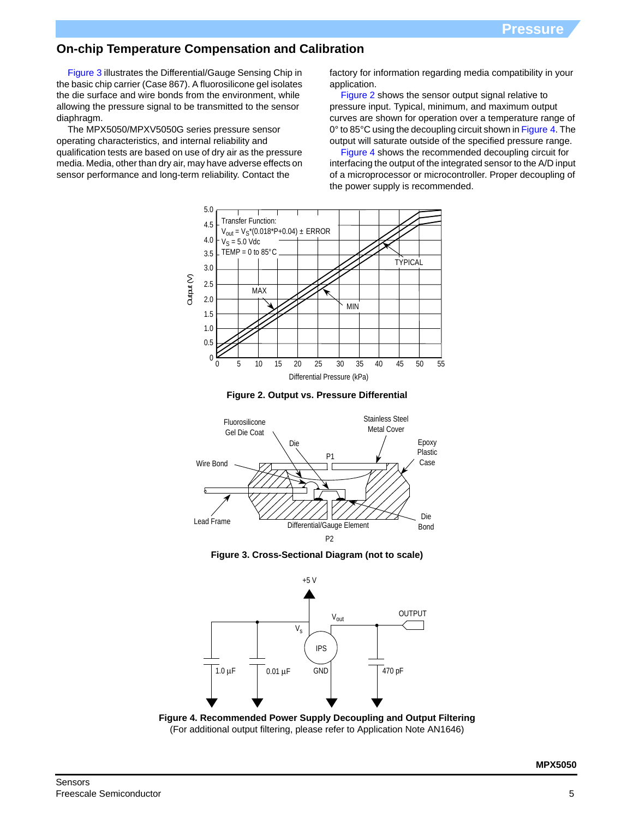# **On-chip Temperature Compensation and Calibration**

Figure 3 illustrates the Differential/Gauge Sensing Chip in the basic chip carrier (Case 867). A fluorosilicone gel isolates the die surface and wire bonds from the environment, while allowing the pressure signal to be transmitted to the sensor diaphragm.

The MPX5050/MPXV5050G series pressure sensor operating characteristics, and internal reliability and qualification tests are based on use of dry air as the pressure media. Media, other than dry air, may have adverse effects on sensor performance and long-term reliability. Contact the

factory for information regarding media compatibility in your application.

[Figure 2](#page-4-0) shows the sensor output signal relative to pressure input. Typical, minimum, and maximum output curves are shown for operation over a temperature range of 0° to 85°C using the decoupling circuit shown in Figure 4. The output will saturate outside of the specified pressure range.

Figure 4 shows the recommended decoupling circuit for interfacing the output of the integrated sensor to the A/D input of a microprocessor or microcontroller. Proper decoupling of the power supply is recommended.



**Figure 2. Output vs. Pressure Differential**

<span id="page-4-0"></span>

**Figure 3. Cross-Sectional Diagram (not to scale)**



**Figure 4. Recommended Power Supply Decoupling and Output Filtering** (For additional output filtering, please refer to Application Note AN1646)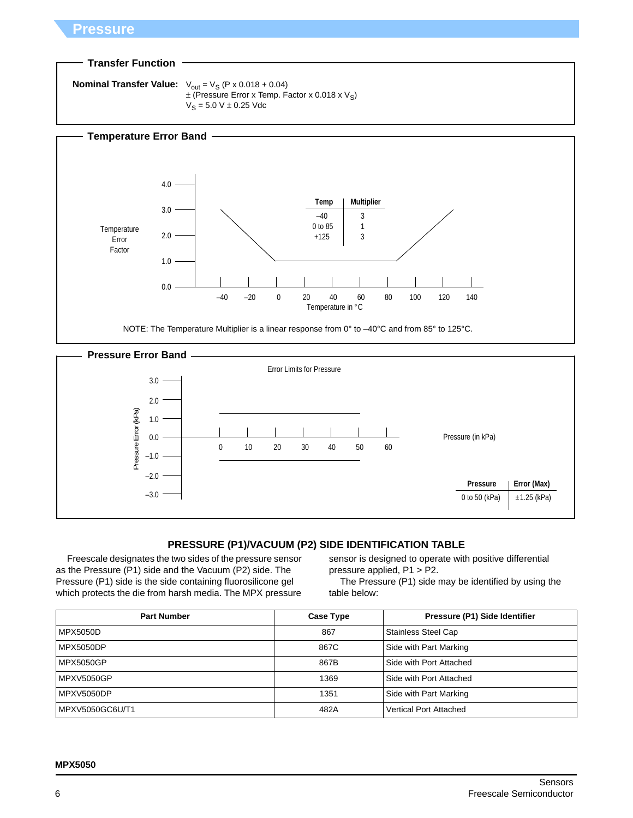# **Pressure**

### **Transfer Function**

```
Nominal Transfer Value: V_{\text{out}} = V_S (P \times 0.018 + 0.04)\pm (Pressure Error x Temp. Factor x 0.018 x V_S)
                                  V_S = 5.0 V \pm 0.25 Vdc
```




# **PRESSURE (P1)/VACUUM (P2) SIDE IDENTIFICATION TABLE**

Freescale designates the two sides of the pressure sensor as the Pressure (P1) side and the Vacuum (P2) side. The Pressure (P1) side is the side containing fluorosilicone gel which protects the die from harsh media. The MPX pressure

sensor is designed to operate with positive differential pressure applied, P1 > P2.

The Pressure (P1) side may be identified by using the table below:

| <b>Part Number</b> | <b>Case Type</b> | Pressure (P1) Side Identifier |
|--------------------|------------------|-------------------------------|
| <b>MPX5050D</b>    | 867              | <b>Stainless Steel Cap</b>    |
| <b>MPX5050DP</b>   | 867C             | Side with Part Marking        |
| MPX5050GP          | 867B             | Side with Port Attached       |
| <b>MPXV5050GP</b>  | 1369             | Side with Port Attached       |
| MPXV5050DP         | 1351             | Side with Part Marking        |
| MPXV5050GC6U/T1    | 482A             | <b>Vertical Port Attached</b> |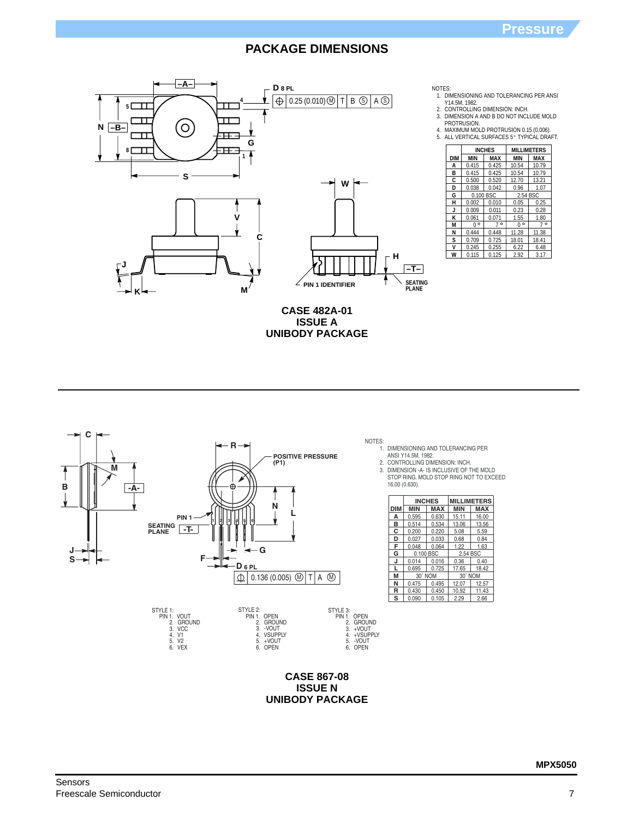

| NOTES: |                                          |
|--------|------------------------------------------|
|        | 1. DIMENSIONING AND TOLERANCING PER ANSI |
|        | . <i>.</i>                               |

Y14.5M, 1982. 2. CONTROLLING DIMENSION: INCH.

3. DIMENSION A AND B DO NOT INCLUDE MOLD PROTRUSION.

4. MAXIMUM MOLD PROTRUSION 0.15 (0.006).<br>5. ALL VERTICAL SURFACES 5° TYPICAL DRAFT.

|            |             | <b>INCHES</b> |             | <b>MILLIMETERS</b> |
|------------|-------------|---------------|-------------|--------------------|
| <b>DIM</b> | <b>MIN</b>  | MAX           | <b>MIN</b>  | MAX                |
| A          | 0.415       | 0.425         | 10.54       | 10.79              |
| в          | 0.415       | 0.425         | 10.54       | 10.79              |
| C          | 0.500       | 0.520         | 12.70       | 13.21              |
| D          | 0.038       | 0.042         | 0.96        | 1.07               |
| G          | 0.100 BSC   |               | 2.54 BSC    |                    |
| н          | 0.002       | 0.010         | 0.05        | 0.25               |
| J          | 0.009       | 0.011         | 0.23        | 0.28               |
| Κ          | 0.061       | 0.071         | 1.55        | 1.80               |
| M          | $0^{\circ}$ | $7^{\circ}$   | $0^{\circ}$ | 7°                 |
| N          | 0.444       | 0.448         | 11.28       | 11.38              |
| s          | 0.709       | 0.725         | 18.01       | 18.41              |
| V          | 0.245       | 0.255         | 6.22        | 6.48               |
| W          | 0.115       | 0.125         | 2.92        | 3.17               |

**CASE 482A-01 ISSUE A UNIBODY PACKAGE**



STYLE 1:<br>
PIN 1. VOUT<br>
2. GROUND<br>
3. VCC<br>
4. V1<br>
5. V2<br>
6. VEX

1. DIMENSIONING AND TOLERANCING PER

2. 3.

ANSI Y14.5M, 1982.<br>CONTROLLING DIMENSION: INCH.<br>DIMENSION -A- IS INCLUSIVE OF THE MOLD<br>STOP RING. MOLD STOP RING NOT TO EXCEED 16.00 (0.630).

|            |            | <b>INCHES</b> |            | <b>MILLIMETERS</b> |
|------------|------------|---------------|------------|--------------------|
| <b>DIM</b> | <b>MIN</b> | <b>MAX</b>    | <b>MIN</b> | <b>MAX</b>         |
| A          | 0.595      | 0.630         | 15.11      | 16.00              |
| в          | 0.514      | 0.534         | 13.06      | 13.56              |
| с          | 0.200      | 0.220         | 5.08       | 5.59               |
| D          | 0.027      | 0.033         | 0.68       | 0.84               |
| F          | 0.048      | 0.064         | 1.22       | 1.63               |
| G          | 0.100 BSC  |               | 2.54 BSC   |                    |
| J          | 0.014      | 0.016         | 0.36       | 0.40               |
|            | 0.695      | 0.725         | 17.65      | 18.42              |
| М          | 30° NOM    |               | 30° NOM    |                    |
| N          | 0.475      | 0.495         | 12.07      | 12.57              |
| R          | 0.430      | 0.450         | 10.92      | 11.43              |
| S          | 0.090      | 0.105         | 2.29       | 2.66               |

## **CASE 867-08 ISSUE N UNIBODY PACKAGE**

STYLE 2: PIN 1. OPEN 2. GROUND 3. -VOUT 4. VSUPPLY 5. +VOUT 6. OPEN

STYLE 3: PIN 1. OPEN 2. GROUND 3. +VOUT 4. +VSUPPLY 5. -VOUT 6. OPEN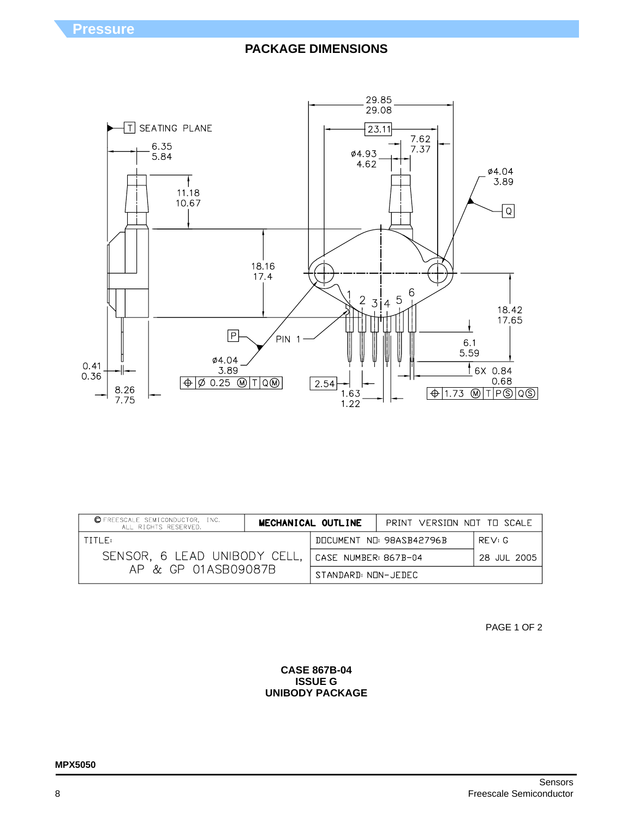

| C FREESCALE SEMICONDUCTOR, INC.<br>ALL RIGHTS RESERVED. |                      | MECHANICAL OUTLINE | PRINT VERSINN NNT TH SCALE |       |
|---------------------------------------------------------|----------------------|--------------------|----------------------------|-------|
| TITI F:                                                 |                      |                    | DOCUMENT NO: 98ASB42796B   | RFV:G |
| SENSOR, 6 LEAD UNIBODY CELL,                            | CASE NUMBER: 867B-04 |                    | 28 JUL 2005                |       |
| AP & GP 01ASB09087B                                     | STANDARD: NON-JEDEC  |                    |                            |       |

PAGE 1 OF 2

### **CASE 867B-04 ISSUE G UNIBODY PACKAGE**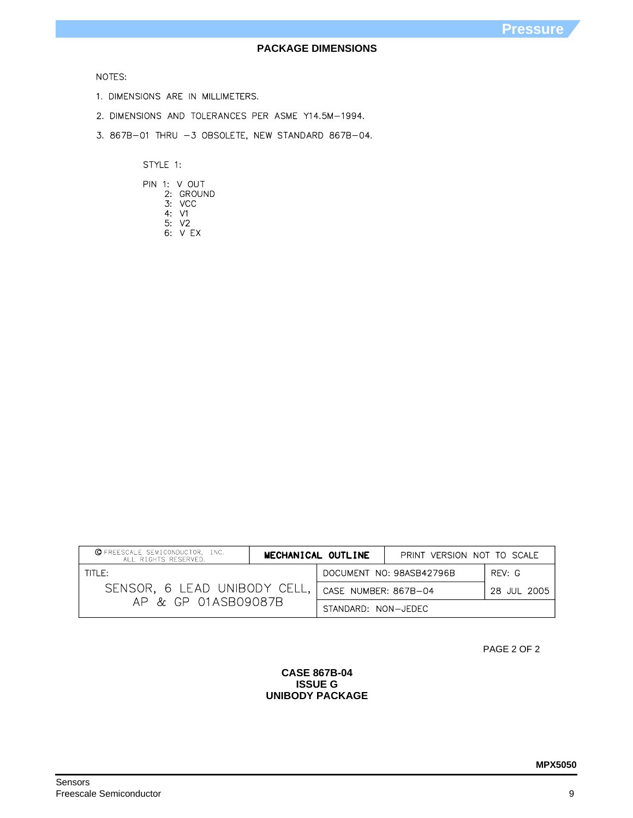## NOTES:

- 1. DIMENSIONS ARE IN MILLIMETERS.
- 2. DIMENSIONS AND TOLERANCES PER ASME Y14.5M-1994.
- 3. 867B-01 THRU -3 OBSOLETE, NEW STANDARD 867B-04.

STYLE 1:

|  | PIN 1: V OUT |
|--|--------------|
|  | 2: GROUND    |
|  | 3: VCC       |
|  | 4 V1         |
|  | 5: V2        |
|  | 6: VFX       |

| <b>Q</b> FREESCALE SEMICONDUCTOR, INC.<br>ALL RIGHTS RESERVED. | MECHANICAL OUTLINE   |  | PRINT VERSION NOT TO SCALE |        |
|----------------------------------------------------------------|----------------------|--|----------------------------|--------|
| TITLE:                                                         |                      |  | DOCUMENT NO: 98ASB42796B   | RFV: G |
| SENSOR, 6 LEAD UNIBODY CELL,                                   | CASE NUMBER: 867B-04 |  | 28 JUL 2005                |        |
| AP & GP 01ASB09087B                                            | STANDARD: NON-JEDEC  |  |                            |        |

PAGE 2 OF 2

### **CASE 867B-04 ISSUE G UNIBODY PACKAGE**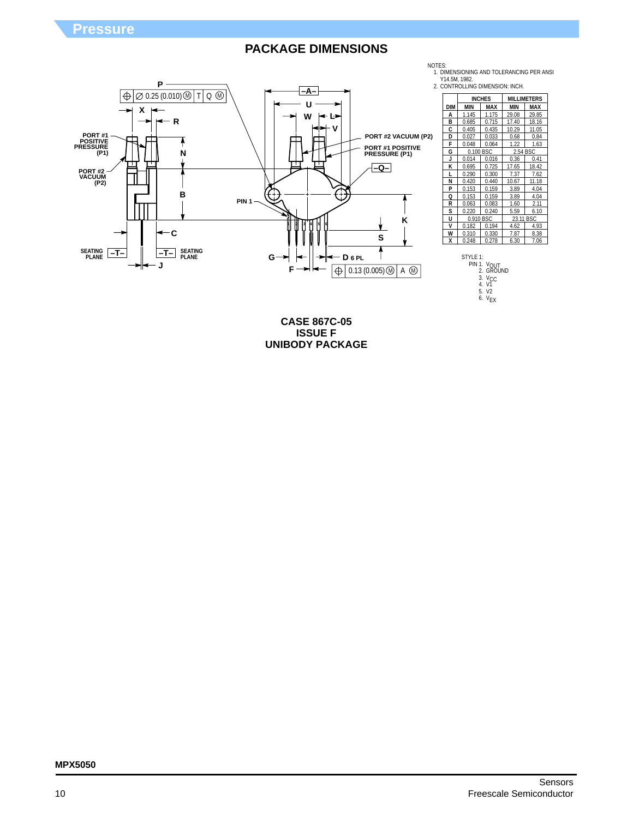

|            |           | <b>INCHES</b> | <b>MILLIMETERS</b> |       |  |
|------------|-----------|---------------|--------------------|-------|--|
| <b>DIM</b> | MIN       | MAX           | MIN                | MAX   |  |
| A          | 1.145     | 1.175         | 29.08              | 29.85 |  |
| В          | 0.685     | 0.715         | 17.40              | 18.16 |  |
| С          | 0.405     | 0.435         | 10.29              | 11.05 |  |
| D          | 0.027     | 0.033         | 0.68               | 0.84  |  |
| F          | 0.048     | 0.064         | 1.22               | 1.63  |  |
| G          | 0.100 BSC |               | 2.54 BSC           |       |  |
| J          | 0.014     | 0.016         | 0.36               | 0.41  |  |
| ĸ          | 0.695     | 0.725         | 17.65              | 18.42 |  |
| L          | 0.290     | 0.300         | 7.37               | 7.62  |  |
| N          | 0.420     | 0.440         | 10.67              | 11.18 |  |
| P          | 0.153     | 0.159         | 3.89               | 4.04  |  |
| Q          | 0.153     | 0.159         | 3.89               | 4.04  |  |
| R          | 0.063     | 0.083         | 1.60               | 2.11  |  |
| s          | 0.220     | 0.240         | 5.59               | 6.10  |  |
| U          | 0.910 BSC |               | 23.11 BSC          |       |  |
| V          | 0.182     | 0.194         | 4.62               | 4.93  |  |
| W          | 0.310     | 0.330         | 7.87               | 8.38  |  |
| X          | 0.248     | 0.278         | 6.30               | 7.06  |  |

STYLE 1:<br>PIN 1. V<sub>OUT</sub><br>2. GROUND 3. V<sub>CC</sub><br>4. V1<br>5. V2 6.  $V_{EX}$ 

**CASE 867C-05 ISSUE F UNIBODY PACKAGE**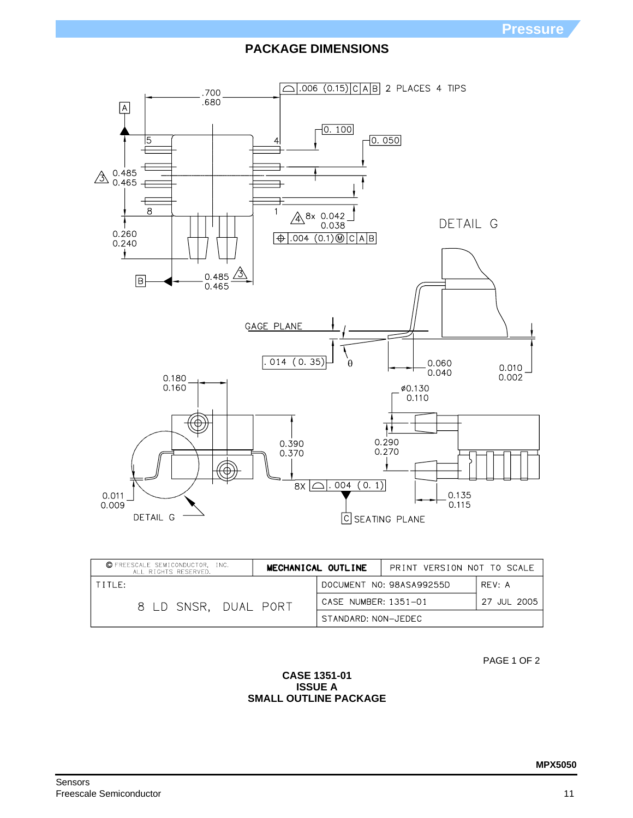

| <b>C</b> FREESCALE SEMICONDUCTOR, INC.<br>ALL RIGHTS RESERVED. | MECHANICAL OUTLINE   | PRINT VERSION NOT TO SCALE |             |
|----------------------------------------------------------------|----------------------|----------------------------|-------------|
| TITLE:                                                         |                      | DOCUMENT NO: 98ASA99255D   | RFV: A      |
| 8 LD SNSR, DUAL PORT                                           | CASE NUMBER: 1351-01 |                            | 27 JUL 2005 |
|                                                                | STANDARD: NON-JEDEC  |                            |             |

PAGE 1 OF 2

## **CASE 1351-01 ISSUE A SMALL OUTLINE PACKAGE**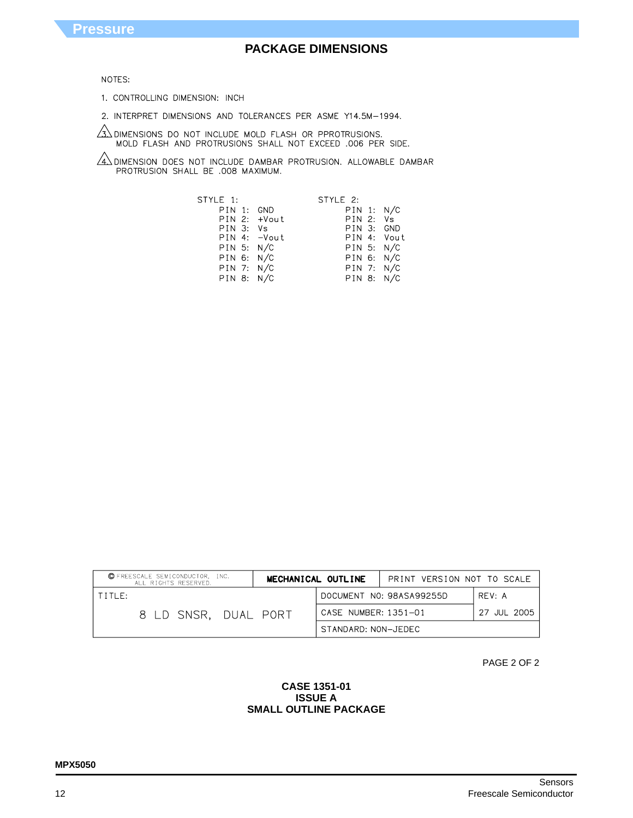

### **MPX5050**

### **CASE 1351-01 ISSUE A SMALL OUTLINE PACKAGE**

PAGE 2 OF 2

| © FREESCALE SEMICONDUCTOR, INC.<br>ALL RIGHTS RESERVED. |                      | MECHANICAL OUTLINE   | PRINT VERSION NOT TO SCALE |             |
|---------------------------------------------------------|----------------------|----------------------|----------------------------|-------------|
| TITLE:                                                  |                      |                      | DOCUMENT NO: 98ASA99255D   | RFV: A      |
|                                                         | 8 LD SNSR. DUAL PORT | CASE NUMBER: 1351-01 |                            | 27 JUL 2005 |
|                                                         |                      | STANDARD: NON-JEDEC  |                            |             |

STYLE 2: STYLE 1: PIN 1: GND  $PIN 1: N/C$ PIN 2: +Vout<br>PIN 3: Vs PIN 2: Vs<br>PIN 3: GND PIN 4: - Vout PIN 4: Vout  $PIN 5: N/C$ PIN 5: N/C  $PIN 6: N/C$  $PIN 6: N/C$  $PIN 7: N/C$  $PIN 7: N/C$  $PIN 8: N/C$ PIN 8: N/C

**PACKAGE DIMENSIONS**

# NOTES:

**Pressure**

1. CONTROLLING DIMENSION: INCH

PROTRUSION SHALL BE .008 MAXIMUM.

2. INTERPRET DIMENSIONS AND TOLERANCES PER ASME Y14.5M-1994.

 $\sqrt{4}$  dimension does not include dambar protrusion. Allowable dambar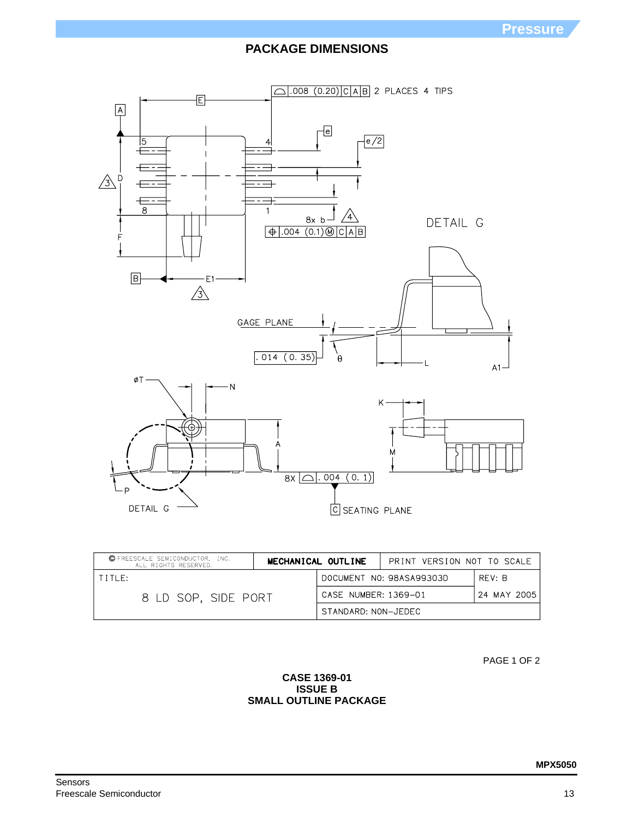

| © FREESCALE SEMICONDUCTOR. INC.<br>ALL RIGHTS RESERVED. | MECHANICAL OUTLINE   |                          | PRINT VERSION NOT TO SCALE |  |
|---------------------------------------------------------|----------------------|--------------------------|----------------------------|--|
| TTITF:                                                  |                      | DOCUMENT NO: 98ASA99303D | RFV: B                     |  |
| 8 LD SOP. SIDE PORT                                     | CASE NUMBER: 1369-01 |                          | 24 MAY 2005                |  |
|                                                         | STANDARD: NON-JEDEC  |                          |                            |  |

PAGE 1 OF 2

## **CASE 1369-01 ISSUE B SMALL OUTLINE PACKAGE**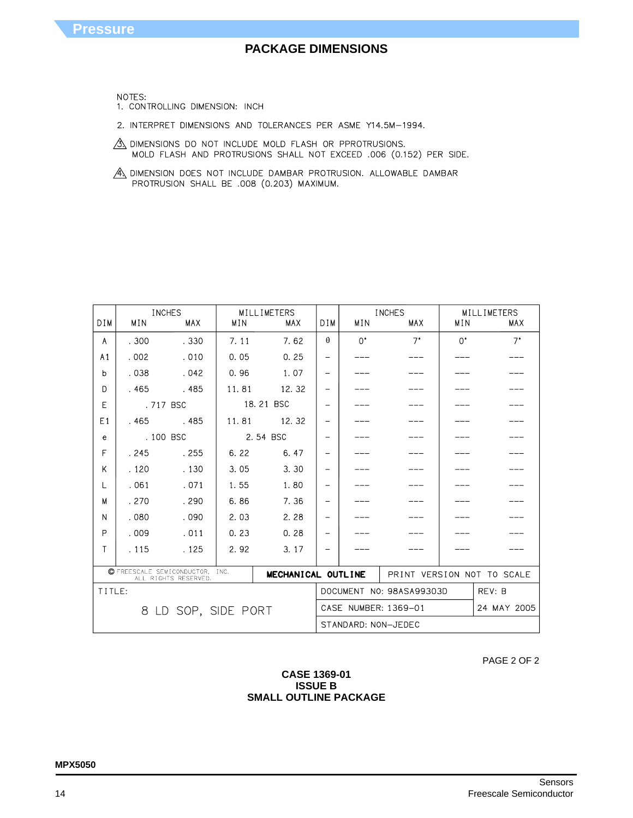### **CASE 1369-01 ISSUE B SMALL OUTLINE PACKAGE**

| PAGE 2 OF 2 |  |  |
|-------------|--|--|
|             |  |  |

| <b>INCHES</b>                                                                    |                        |            | MILL IMETERS |                     | <b>INCHES</b>              |             | MILLIMETERS |             |             |
|----------------------------------------------------------------------------------|------------------------|------------|--------------|---------------------|----------------------------|-------------|-------------|-------------|-------------|
| <b>DIM</b>                                                                       | MIN                    | <b>MAX</b> | MIN          | <b>MAX</b>          | DIM.                       | MIN         | MAX         | MIN         | MAX         |
| A                                                                                | .300                   | .330       | 7.11         | 7.62                | $\theta$                   | $0^{\circ}$ | $7^{\circ}$ | $0^{\circ}$ | $7^{\circ}$ |
| A <sub>1</sub>                                                                   | .002                   | .010       | 0.05         | 0.25                | $\overline{\phantom{0}}$   |             |             |             |             |
| b                                                                                | .038                   | .042       | 0.96         | 1.07                | -                          |             |             |             |             |
| D                                                                                | .465                   | .485       | 11.81        | 12.32               | $\overline{\phantom{0}}$   |             |             |             |             |
| E                                                                                |                        | .717 BSC   |              | 18.21 BSC           | $\qquad \qquad -$          |             |             |             |             |
| E1                                                                               | .465                   | .485       | 11.81        | 12.32               | $\overline{\phantom{0}}$   |             |             |             |             |
| e                                                                                |                        | . 100 BSC  |              | 2.54 BSC            | $\overline{\phantom{0}}$   |             |             |             |             |
| F                                                                                | .245                   | .255       | 6.22         | 6.47                | $\overline{\phantom{0}}$   |             |             |             |             |
| K                                                                                | .120                   | .130       | 3.05         | 3.30                | -                          |             |             |             |             |
| L                                                                                | .061                   | .071       | 1.55         | 1.80                | $\overline{\phantom{0}}$   |             |             |             |             |
| M                                                                                | .270                   | .290       | 6.86         | 7.36                | $\qquad \qquad -$          |             |             |             |             |
| N                                                                                | .080                   | .090       | 2.03         | 2.28                | -                          |             |             |             |             |
| P                                                                                | .009                   | .011       | 0.23         | 0.28                | $\overline{\phantom{0}}$   |             |             |             |             |
| Т                                                                                | .115                   | .125       | 2.92         | 3.17                | $\overline{\phantom{0}}$   |             |             |             |             |
| C FREESCALE SEMICONDUCTOR,<br>INC.<br>MECHANICAL OUTLINE<br>ALL RIGHTS RESERVED. |                        |            |              |                     | PRINT VERSION NOT TO SCALE |             |             |             |             |
| TITLE:                                                                           |                        |            |              |                     | DOCUMENT NO: 98ASA99303D   |             | REV: B      |             |             |
|                                                                                  | LD SOP, SIDE PORT<br>8 |            |              |                     | CASE NUMBER: 1369-01       |             |             | 24 MAY 2005 |             |
|                                                                                  |                        |            |              | STANDARD: NON-JEDEC |                            |             |             |             |             |

A DIMENSION DOES NOT INCLUDE DAMBAR PROTRUSION. ALLOWABLE DAMBAR PROTRUSION SHALL BE .008 (0.203) MAXIMUM.

2. INTERPRET DIMENSIONS AND TOLERANCES PER ASME Y14.5M-1994.

MOLD FLASH AND PROTRUSIONS SHALL NOT EXCEED .006 (0.152) PER SIDE.

 $\frac{3}{2}$  dimensions do not include mold flash or pprotrusions.

NOTES: 1. CONTROLLING DIMENSION: INCH

**Pressure**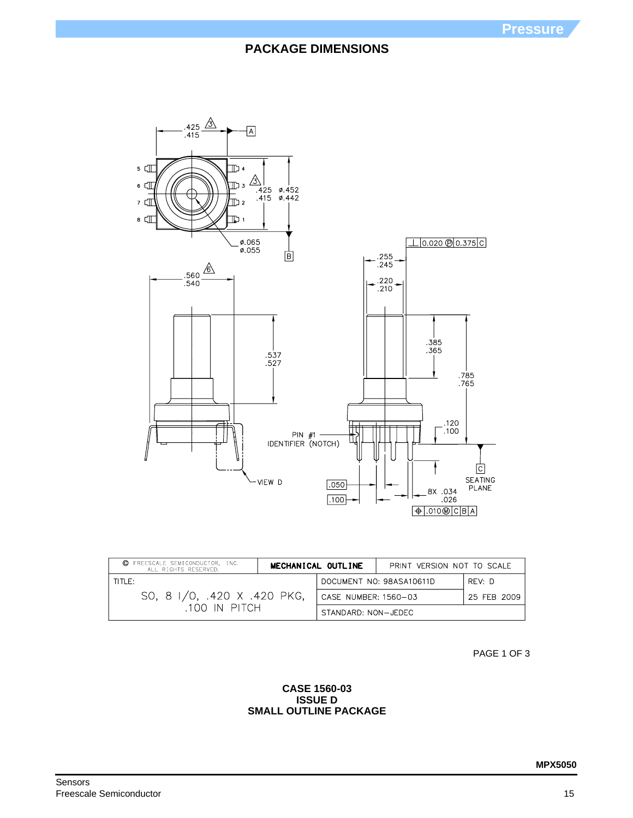

| © FREESCALE SEMICONDUCTOR, INC.<br>ALL RIGHTS RESERVED. |                                     | MECHANICAL OUTLINE | PRINT VERSION NOT TO SCALE |  |
|---------------------------------------------------------|-------------------------------------|--------------------|----------------------------|--|
| TITLE:                                                  | DOCUMENT NO: 98ASA10611D            | RFV: D             |                            |  |
| SO, 8 I/O, .420 X .420 PKG,                             | CASE NUMBER: 1560-03<br>25 FEB 2009 |                    |                            |  |
| 100 IN PITCH                                            | STANDARD: NON-JEDEC                 |                    |                            |  |

PAGE 1 OF 3

## **CASE 1560-03 ISSUE D SMALL OUTLINE PACKAGE**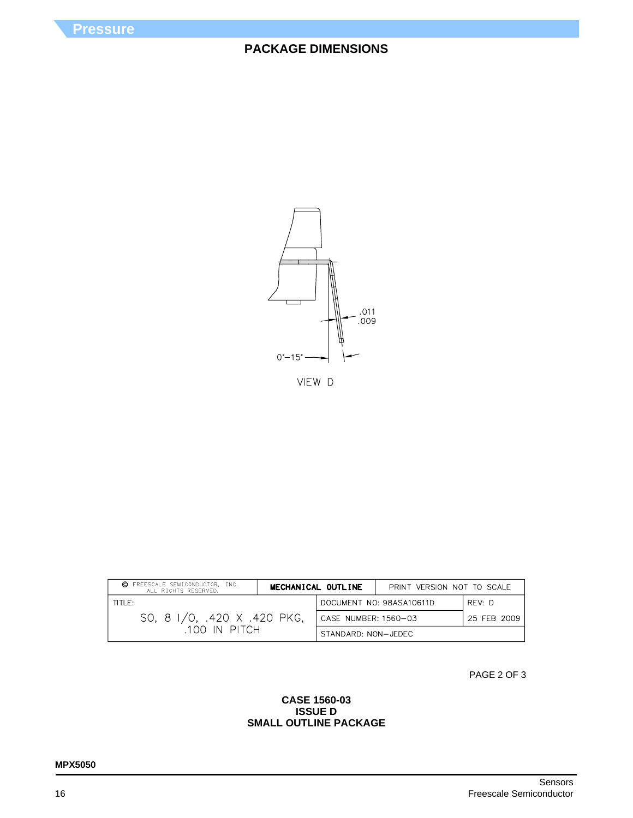

VIEW D

| © FREESCALE SEMICONDUCTOR, INC.<br>ALL RIGHTS RESERVED. | MECHANICAL OUTLINE<br>PRINT VERSION NOT TO SCALE |  |  |
|---------------------------------------------------------|--------------------------------------------------|--|--|
| TITLE:                                                  | DOCUMENT NO: 98ASA10611D<br>REV: D               |  |  |
| SO, 8 I/O, .420 X .420 PKG,                             | CASE NUMBER: 1560-03<br>25 FEB 2009              |  |  |
| .100 IN PITCH                                           | STANDARD: NON-JEDEC                              |  |  |

PAGE 2 OF 3

## **CASE 1560-03 ISSUE D SMALL OUTLINE PACKAGE**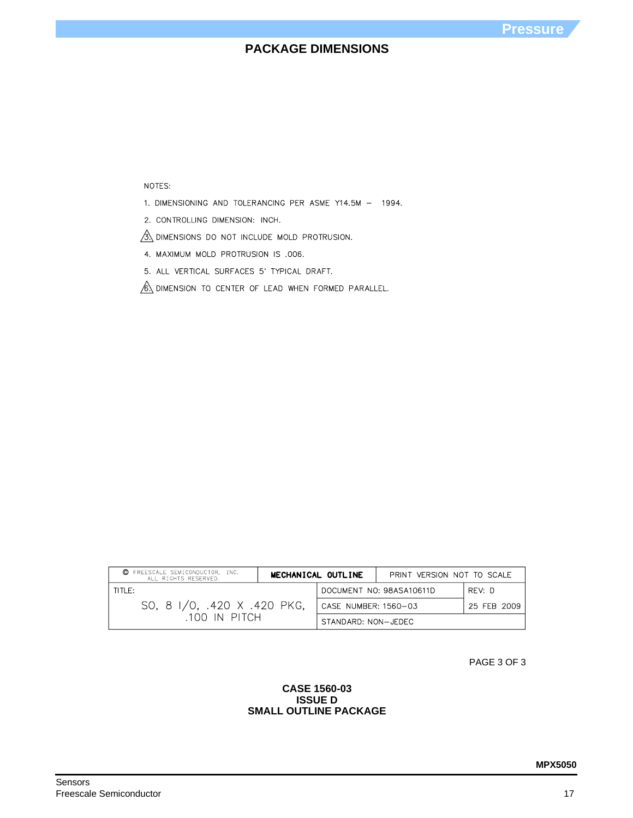NOTES:

1. DIMENSIONING AND TOLERANCING PER ASME Y14.5M - 1994.

2. CONTROLLING DIMENSION: INCH.

 $\overline{\mathcal{B}}$  dimensions do not include mold protrusion.

4. MAXIMUM MOLD PROTRUSION IS .006.

5. ALL VERTICAL SURFACES 5' TYPICAL DRAFT.

 $\sqrt{6}$  dimension to center of lead when formed parallel.

| C FREESCALE SEMICONDUCTOR. INC.<br>ALL RIGHTS RESERVED. | MECHANICAL OUTLINE                  | PRINT VERSION NOT TO SCALE |  |  |
|---------------------------------------------------------|-------------------------------------|----------------------------|--|--|
| TITLE:                                                  | DOCUMENT NO: 98ASA10611D            | RFV: D                     |  |  |
| SO, 8 I/O, .420 X .420 PKG,                             | CASE NUMBER: 1560-03<br>25 FEB 2009 |                            |  |  |
| .100 IN PITCH                                           | STANDARD: NON-JEDEC                 |                            |  |  |

PAGE 3 OF 3

### **CASE 1560-03 ISSUE D SMALL OUTLINE PACKAGE**